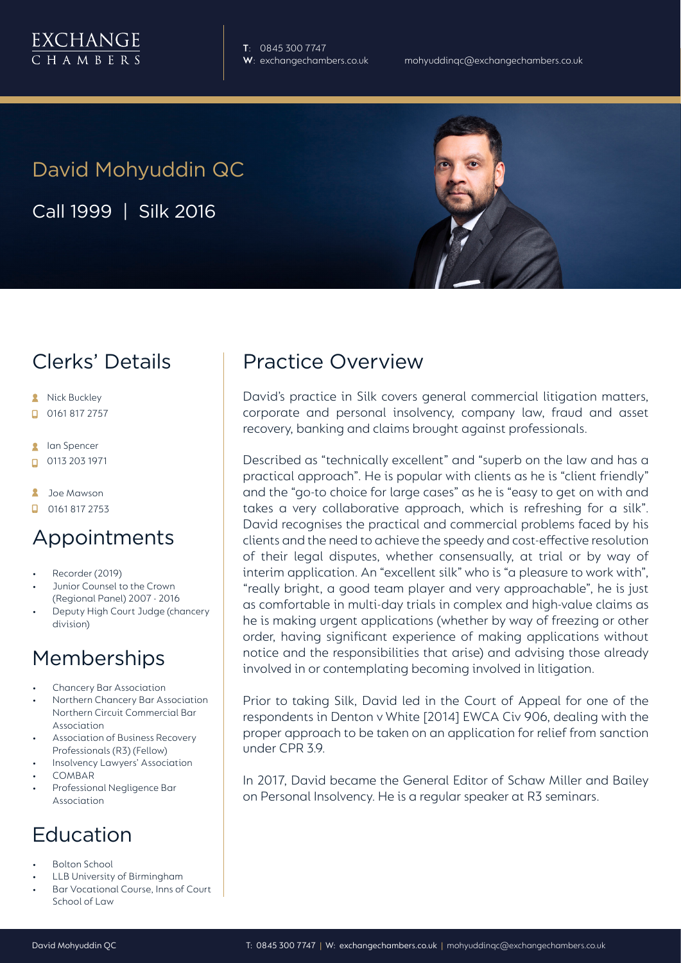**T**: 0845 300 7747

# David Mohyuddin QC

Call 1999 | Silk 2016

### Clerks' Details

- **A** Nick Buckley
- $\Box$  0161 817 2757
- **R** lan Spencer
- 0113 203 1971
- **A** Joe Mawson
- $\Box$  0161 817 2753

#### Appointments

- Recorder (2019)
- Junior Counsel to the Crown (Regional Panel) 2007 - 2016
- Deputy High Court Judge (chancery division)

## Memberships

- Chancery Bar Association
- Northern Chancery Bar Association Northern Circuit Commercial Bar Association
- Association of Business Recovery Professionals (R3) (Fellow)
- Insolvency Lawyers' Association
- COMBAR
- Professional Negligence Bar Association

## Education

- Bolton School
- LLB University of Birmingham
- Bar Vocational Course, Inns of Court School of Law

### Practice Overview

David's practice in Silk covers general commercial litigation matters, corporate and personal insolvency, company law, fraud and asset recovery, banking and claims brought against professionals.

Described as "technically excellent" and "superb on the law and has a practical approach". He is popular with clients as he is "client friendly" and the "go-to choice for large cases" as he is "easy to get on with and takes a very collaborative approach, which is refreshing for a silk". David recognises the practical and commercial problems faced by his clients and the need to achieve the speedy and cost-effective resolution of their legal disputes, whether consensually, at trial or by way of interim application. An "excellent silk" who is "a pleasure to work with", "really bright, a good team player and very approachable", he is just as comfortable in multi-day trials in complex and high-value claims as he is making urgent applications (whether by way of freezing or other order, having significant experience of making applications without notice and the responsibilities that arise) and advising those already involved in or contemplating becoming involved in litigation.

Prior to taking Silk, David led in the Court of Appeal for one of the respondents in Denton v White [2014] EWCA Civ 906, dealing with the proper approach to be taken on an application for relief from sanction under CPR 39

In 2017, David became the General Editor of Schaw Miller and Bailey on Personal Insolvency. He is a regular speaker at R3 seminars.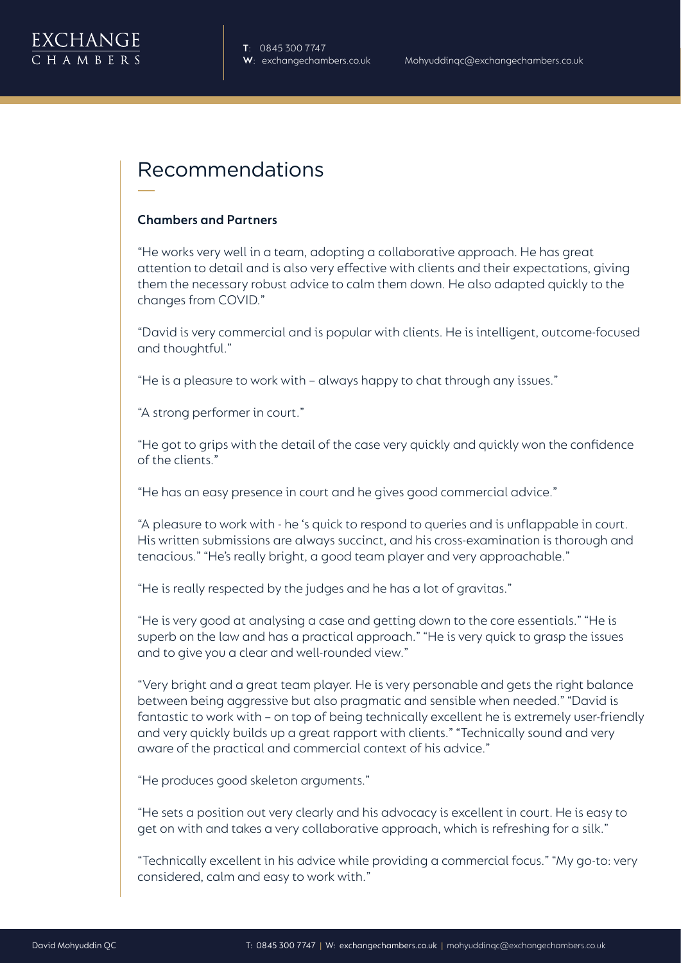

#### Recommendations

#### **Chambers and Partners**

"He works very well in a team, adopting a collaborative approach. He has great attention to detail and is also very effective with clients and their expectations, giving them the necessary robust advice to calm them down. He also adapted quickly to the changes from COVID."

"David is very commercial and is popular with clients. He is intelligent, outcome-focused and thoughtful."

"He is a pleasure to work with – always happy to chat through any issues."

"A strong performer in court."

"He got to grips with the detail of the case very quickly and quickly won the confidence of the clients."

"He has an easy presence in court and he gives good commercial advice."

"A pleasure to work with - he 's quick to respond to queries and is unflappable in court. His written submissions are always succinct, and his cross-examination is thorough and tenacious." "He's really bright, a good team player and very approachable."

"He is really respected by the judges and he has a lot of gravitas."

"He is very good at analysing a case and getting down to the core essentials." "He is superb on the law and has a practical approach." "He is very quick to grasp the issues and to give you a clear and well-rounded view."

"Very bright and a great team player. He is very personable and gets the right balance between being aggressive but also pragmatic and sensible when needed." "David is fantastic to work with – on top of being technically excellent he is extremely user-friendly and very quickly builds up a great rapport with clients." "Technically sound and very aware of the practical and commercial context of his advice."

"He produces good skeleton arguments."

"He sets a position out very clearly and his advocacy is excellent in court. He is easy to get on with and takes a very collaborative approach, which is refreshing for a silk."

"Technically excellent in his advice while providing a commercial focus." "My go-to: very considered, calm and easy to work with."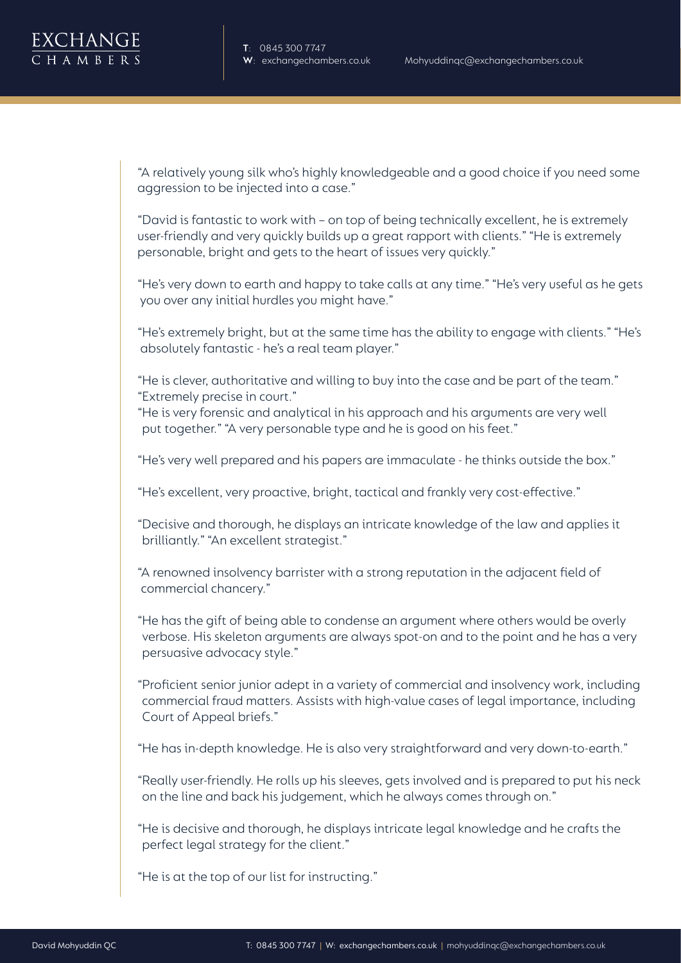**T**: 0845 300 7747

"A relatively young silk who's highly knowledgeable and a good choice if you need some aggression to be injected into a case."

"David is fantastic to work with – on top of being technically excellent, he is extremely user-friendly and very quickly builds up a great rapport with clients." "He is extremely personable, bright and gets to the heart of issues very quickly."

"He's very down to earth and happy to take calls at any time." "He's very useful as he gets you over any initial hurdles you might have."

"He's extremely bright, but at the same time has the ability to engage with clients." "He's absolutely fantastic - he's a real team player."

"He is clever, authoritative and willing to buy into the case and be part of the team." "Extremely precise in court."

"He is very forensic and analytical in his approach and his arguments are very well put together." "A very personable type and he is good on his feet."

"He's very well prepared and his papers are immaculate - he thinks outside the box."

"He's excellent, very proactive, bright, tactical and frankly very cost-effective."

"Decisive and thorough, he displays an intricate knowledge of the law and applies it brilliantly." "An excellent strategist."

"A renowned insolvency barrister with a strong reputation in the adjacent field of commercial chancery."

"He has the gift of being able to condense an argument where others would be overly verbose. His skeleton arguments are always spot-on and to the point and he has a very persuasive advocacy style."

"Proficient senior junior adept in a variety of commercial and insolvency work, including commercial fraud matters. Assists with high-value cases of legal importance, including Court of Appeal briefs."

"He has in-depth knowledge. He is also very straightforward and very down-to-earth."

"Really user-friendly. He rolls up his sleeves, gets involved and is prepared to put his neck on the line and back his judgement, which he always comes through on."

"He is decisive and thorough, he displays intricate legal knowledge and he crafts the perfect legal strategy for the client."

"He is at the top of our list for instructing."